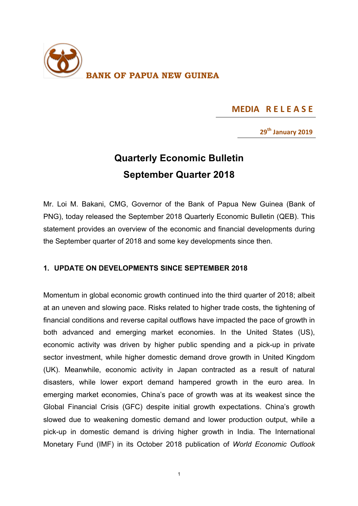

## **MEDIA RELEASE**

**29th January 2019**

## **Quarterly Economic Bulletin September Quarter 2018**

Mr. Loi M. Bakani, CMG, Governor of the Bank of Papua New Guinea (Bank of PNG), today released the September 2018 Quarterly Economic Bulletin (QEB). This statement provides an overview of the economic and financial developments during the September quarter of 2018 and some key developments since then.

## **1. UPDATE ON DEVELOPMENTS SINCE SEPTEMBER 2018**

Momentum in global economic growth continued into the third quarter of 2018; albeit at an uneven and slowing pace. Risks related to higher trade costs, the tightening of financial conditions and reverse capital outflows have impacted the pace of growth in both advanced and emerging market economies. In the United States (US), economic activity was driven by higher public spending and a pick-up in private sector investment, while higher domestic demand drove growth in United Kingdom (UK). Meanwhile, economic activity in Japan contracted as a result of natural disasters, while lower export demand hampered growth in the euro area. In emerging market economies, China's pace of growth was at its weakest since the Global Financial Crisis (GFC) despite initial growth expectations. China's growth slowed due to weakening domestic demand and lower production output, while a pick-up in domestic demand is driving higher growth in India. The International Monetary Fund (IMF) in its October 2018 publication of *World Economic Outlook*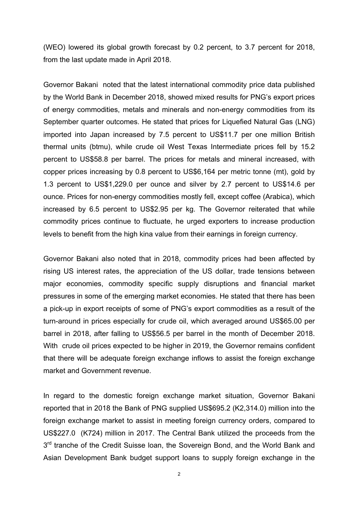(WEO) lowered its global growth forecast by 0.2 percent, to 3.7 percent for 2018, from the last update made in April 2018.

Governor Bakani noted that the latest international commodity price data published by the World Bank in December 2018, showed mixed results for PNG's export prices of energy commodities, metals and minerals and non-energy commodities from its September quarter outcomes. He stated that prices for Liquefied Natural Gas (LNG) imported into Japan increased by 7.5 percent to US\$11.7 per one million British thermal units (btmu), while crude oil West Texas Intermediate prices fell by 15.2 percent to US\$58.8 per barrel. The prices for metals and mineral increased, with copper prices increasing by 0.8 percent to US\$6,164 per metric tonne (mt), gold by 1.3 percent to US\$1,229.0 per ounce and silver by 2.7 percent to US\$14.6 per ounce. Prices for non-energy commodities mostly fell, except coffee (Arabica), which increased by 6.5 percent to US\$2.95 per kg. The Governor reiterated that while commodity prices continue to fluctuate, he urged exporters to increase production levels to benefit from the high kina value from their earnings in foreign currency.

Governor Bakani also noted that in 2018, commodity prices had been affected by rising US interest rates, the appreciation of the US dollar, trade tensions between major economies, commodity specific supply disruptions and financial market pressures in some of the emerging market economies. He stated that there has been a pick-up in export receipts of some of PNG's export commodities as a result of the turn-around in prices especially for crude oil, which averaged around US\$65.00 per barrel in 2018, after falling to US\$56.5 per barrel in the month of December 2018. With crude oil prices expected to be higher in 2019, the Governor remains confident that there will be adequate foreign exchange inflows to assist the foreign exchange market and Government revenue.

In regard to the domestic foreign exchange market situation, Governor Bakani reported that in 2018 the Bank of PNG supplied US\$695.2 (K2,314.0) million into the foreign exchange market to assist in meeting foreign currency orders, compared to US\$227.0 (K724) million in 2017. The Central Bank utilized the proceeds from the 3<sup>rd</sup> tranche of the Credit Suisse Ioan, the Sovereign Bond, and the World Bank and Asian Development Bank budget support loans to supply foreign exchange in the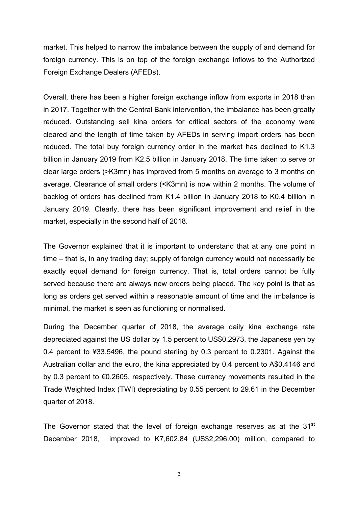market. This helped to narrow the imbalance between the supply of and demand for foreign currency. This is on top of the foreign exchange inflows to the Authorized Foreign Exchange Dealers (AFEDs).

Overall, there has been a higher foreign exchange inflow from exports in 2018 than in 2017. Together with the Central Bank intervention, the imbalance has been greatly reduced. Outstanding sell kina orders for critical sectors of the economy were cleared and the length of time taken by AFEDs in serving import orders has been reduced. The total buy foreign currency order in the market has declined to K1.3 billion in January 2019 from K2.5 billion in January 2018. The time taken to serve or clear large orders (>K3mn) has improved from 5 months on average to 3 months on average. Clearance of small orders (<K3mn) is now within 2 months. The volume of backlog of orders has declined from K1.4 billion in January 2018 to K0.4 billion in January 2019. Clearly, there has been significant improvement and relief in the market, especially in the second half of 2018.

The Governor explained that it is important to understand that at any one point in time – that is, in any trading day; supply of foreign currency would not necessarily be exactly equal demand for foreign currency. That is, total orders cannot be fully served because there are always new orders being placed. The key point is that as long as orders get served within a reasonable amount of time and the imbalance is minimal, the market is seen as functioning or normalised.

During the December quarter of 2018, the average daily kina exchange rate depreciated against the US dollar by 1.5 percent to US\$0.2973, the Japanese yen by 0.4 percent to ¥33.5496, the pound sterling by 0.3 percent to 0.2301. Against the Australian dollar and the euro, the kina appreciated by 0.4 percent to A\$0.4146 and by 0.3 percent to €0.2605, respectively. These currency movements resulted in the Trade Weighted Index (TWI) depreciating by 0.55 percent to 29.61 in the December quarter of 2018.

The Governor stated that the level of foreign exchange reserves as at the  $31<sup>st</sup>$ December 2018, improved to K7,602.84 (US\$2,296.00) million, compared to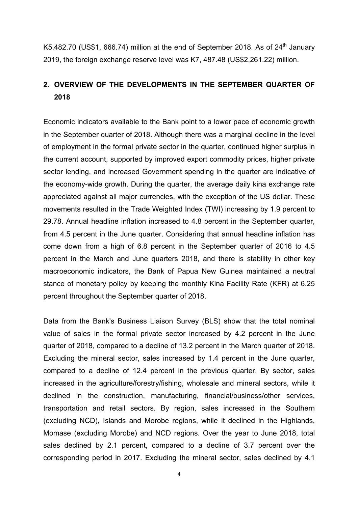K5,482.70 (US\$1, 666.74) million at the end of September 2018. As of  $24<sup>th</sup>$  January 2019, the foreign exchange reserve level was K7, 487.48 (US\$2,261.22) million.

## **2. OVERVIEW OF THE DEVELOPMENTS IN THE SEPTEMBER QUARTER OF 2018**

Economic indicators available to the Bank point to a lower pace of economic growth in the September quarter of 2018. Although there was a marginal decline in the level of employment in the formal private sector in the quarter, continued higher surplus in the current account, supported by improved export commodity prices, higher private sector lending, and increased Government spending in the quarter are indicative of the economy-wide growth. During the quarter, the average daily kina exchange rate appreciated against all major currencies, with the exception of the US dollar. These movements resulted in the Trade Weighted Index (TWI) increasing by 1.9 percent to 29.78. Annual headline inflation increased to 4.8 percent in the September quarter, from 4.5 percent in the June quarter. Considering that annual headline inflation has come down from a high of 6.8 percent in the September quarter of 2016 to 4.5 percent in the March and June quarters 2018, and there is stability in other key macroeconomic indicators, the Bank of Papua New Guinea maintained a neutral stance of monetary policy by keeping the monthly Kina Facility Rate (KFR) at 6.25 percent throughout the September quarter of 2018.

Data from the Bank's Business Liaison Survey (BLS) show that the total nominal value of sales in the formal private sector increased by 4.2 percent in the June quarter of 2018, compared to a decline of 13.2 percent in the March quarter of 2018. Excluding the mineral sector, sales increased by 1.4 percent in the June quarter, compared to a decline of 12.4 percent in the previous quarter. By sector, sales increased in the agriculture/forestry/fishing, wholesale and mineral sectors, while it declined in the construction, manufacturing, financial/business/other services, transportation and retail sectors. By region, sales increased in the Southern (excluding NCD), Islands and Morobe regions, while it declined in the Highlands, Momase (excluding Morobe) and NCD regions. Over the year to June 2018, total sales declined by 2.1 percent, compared to a decline of 3.7 percent over the corresponding period in 2017. Excluding the mineral sector, sales declined by 4.1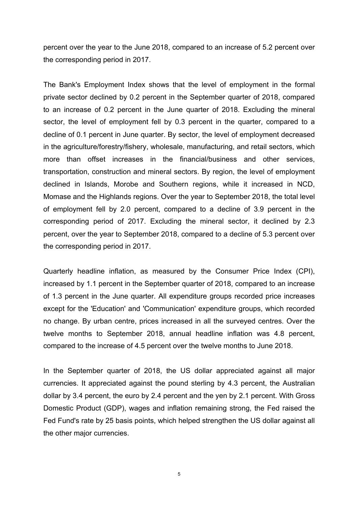percent over the year to the June 2018, compared to an increase of 5.2 percent over the corresponding period in 2017.

The Bank's Employment Index shows that the level of employment in the formal private sector declined by 0.2 percent in the September quarter of 2018, compared to an increase of 0.2 percent in the June quarter of 2018. Excluding the mineral sector, the level of employment fell by 0.3 percent in the quarter, compared to a decline of 0.1 percent in June quarter. By sector, the level of employment decreased in the agriculture/forestry/fishery, wholesale, manufacturing, and retail sectors, which more than offset increases in the financial/business and other services, transportation, construction and mineral sectors. By region, the level of employment declined in Islands, Morobe and Southern regions, while it increased in NCD, Momase and the Highlands regions. Over the year to September 2018, the total level of employment fell by 2.0 percent, compared to a decline of 3.9 percent in the corresponding period of 2017. Excluding the mineral sector, it declined by 2.3 percent, over the year to September 2018, compared to a decline of 5.3 percent over the corresponding period in 2017.

Quarterly headline inflation, as measured by the Consumer Price Index (CPI), increased by 1.1 percent in the September quarter of 2018, compared to an increase of 1.3 percent in the June quarter. All expenditure groups recorded price increases except for the 'Education' and 'Communication' expenditure groups, which recorded no change. By urban centre, prices increased in all the surveyed centres. Over the twelve months to September 2018, annual headline inflation was 4.8 percent, compared to the increase of 4.5 percent over the twelve months to June 2018.

In the September quarter of 2018, the US dollar appreciated against all major currencies. It appreciated against the pound sterling by 4.3 percent, the Australian dollar by 3.4 percent, the euro by 2.4 percent and the yen by 2.1 percent. With Gross Domestic Product (GDP), wages and inflation remaining strong, the Fed raised the Fed Fund's rate by 25 basis points, which helped strengthen the US dollar against all the other major currencies.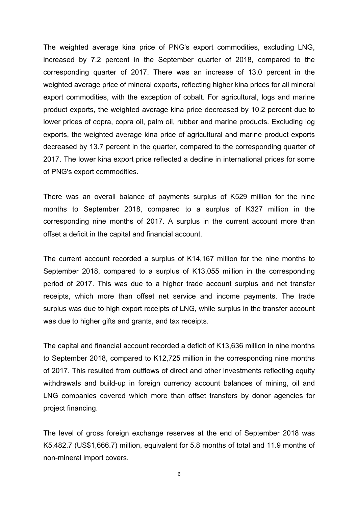The weighted average kina price of PNG's export commodities, excluding LNG, increased by 7.2 percent in the September quarter of 2018, compared to the corresponding quarter of 2017. There was an increase of 13.0 percent in the weighted average price of mineral exports, reflecting higher kina prices for all mineral export commodities, with the exception of cobalt. For agricultural, logs and marine product exports, the weighted average kina price decreased by 10.2 percent due to lower prices of copra, copra oil, palm oil, rubber and marine products. Excluding log exports, the weighted average kina price of agricultural and marine product exports decreased by 13.7 percent in the quarter, compared to the corresponding quarter of 2017. The lower kina export price reflected a decline in international prices for some of PNG's export commodities.

There was an overall balance of payments surplus of K529 million for the nine months to September 2018, compared to a surplus of K327 million in the corresponding nine months of 2017. A surplus in the current account more than offset a deficit in the capital and financial account.

The current account recorded a surplus of K14,167 million for the nine months to September 2018, compared to a surplus of K13,055 million in the corresponding period of 2017. This was due to a higher trade account surplus and net transfer receipts, which more than offset net service and income payments. The trade surplus was due to high export receipts of LNG, while surplus in the transfer account was due to higher gifts and grants, and tax receipts.

The capital and financial account recorded a deficit of K13,636 million in nine months to September 2018, compared to K12,725 million in the corresponding nine months of 2017. This resulted from outflows of direct and other investments reflecting equity withdrawals and build-up in foreign currency account balances of mining, oil and LNG companies covered which more than offset transfers by donor agencies for project financing.

The level of gross foreign exchange reserves at the end of September 2018 was K5,482.7 (US\$1,666.7) million, equivalent for 5.8 months of total and 11.9 months of non-mineral import covers.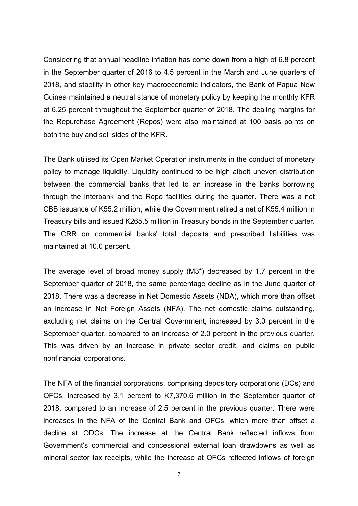Considering that annual headline inflation has come down from a high of 6.8 percent in the September quarter of 2016 to 4.5 percent in the March and June quarters of 2018, and stability in other key macroeconomic indicators, the Bank of Papua New Guinea maintained a neutral stance of monetary policy by keeping the monthly KFR at 6.25 percent throughout the September quarter of 2018. The dealing margins for the Repurchase Agreement (Repos) were also maintained at 100 basis points on both the buy and sell sides of the KFR.

The Bank utilised its Open Market Operation instruments in the conduct of monetary policy to manage liquidity. Liquidity continued to be high albeit uneven distribution between the commercial banks that led to an increase in the banks borrowing through the interbank and the Repo facilities during the quarter. There was a net CBB issuance of K55.2 million, while the Government retired a net of K55.4 million in Treasury bills and issued K265.5 million in Treasury bonds in the September quarter. The CRR on commercial banks' total deposits and prescribed liabilities was maintained at 10.0 percent.

The average level of broad money supply (M3\*) decreased by 1.7 percent in the September quarter of 2018, the same percentage decline as in the June quarter of 2018. There was a decrease in Net Domestic Assets (NDA), which more than offset an increase in Net Foreign Assets (NFA). The net domestic claims outstanding, excluding net claims on the Central Government, increased by 3.0 percent in the September quarter, compared to an increase of 2.0 percent in the previous quarter. This was driven by an increase in private sector credit, and claims on public nonfinancial corporations.

The NFA of the financial corporations, comprising depository corporations (DCs) and OFCs, increased by 3.1 percent to K7,370.6 million in the September quarter of 2018, compared to an increase of 2.5 percent in the previous quarter. There were increases in the NFA of the Central Bank and OFCs, which more than offset a decline at ODCs. The increase at the Central Bank reflected inflows from Government's commercial and concessional external loan drawdowns as well as mineral sector tax receipts, while the increase at OFCs reflected inflows of foreign